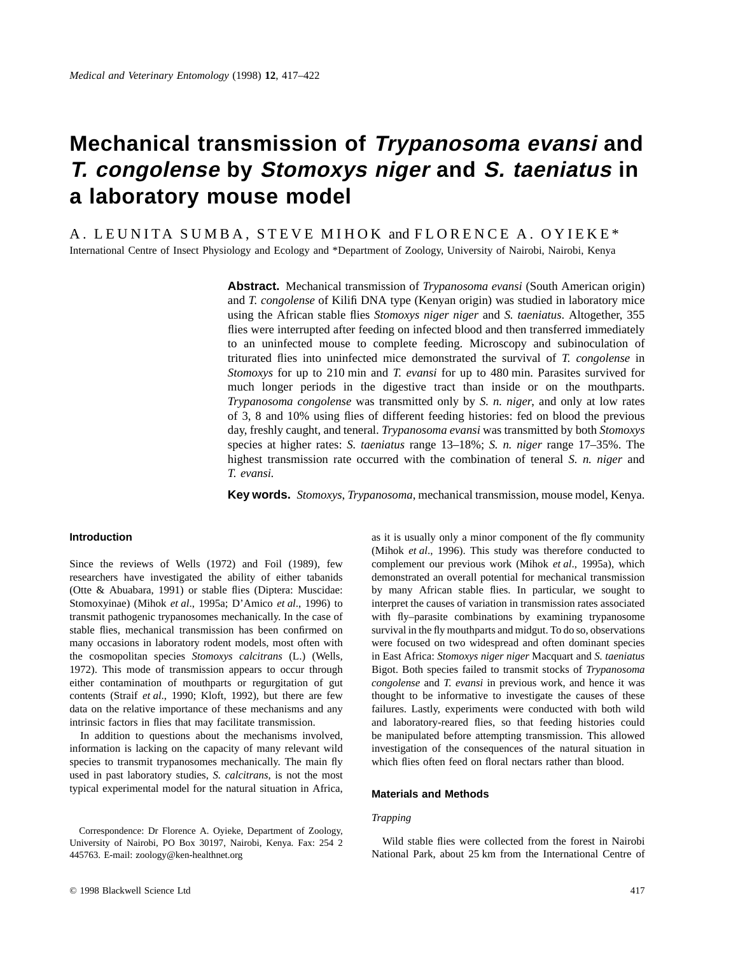# **Mechanical transmission of Trypanosoma evansi and T. congolense by Stomoxys niger and S. taeniatus in a laboratory mouse model**

A. LEUNITA SUMBA, STEVE MIHOK and FLORENCE A. OYIEKE\*

International Centre of Insect Physiology and Ecology and \*Department of Zoology, University of Nairobi, Nairobi, Kenya

**Abstract.** Mechanical transmission of *Trypanosoma evansi* (South American origin) and *T. congolense* of Kilifi DNA type (Kenyan origin) was studied in laboratory mice using the African stable flies *Stomoxys niger niger* and *S. taeniatus*. Altogether, 355 flies were interrupted after feeding on infected blood and then transferred immediately to an uninfected mouse to complete feeding. Microscopy and subinoculation of triturated flies into uninfected mice demonstrated the survival of *T. congolense* in *Stomoxys* for up to 210 min and *T. evansi* for up to 480 min. Parasites survived for much longer periods in the digestive tract than inside or on the mouthparts. *Trypanosoma congolense* was transmitted only by *S. n. niger*, and only at low rates of 3, 8 and 10% using flies of different feeding histories: fed on blood the previous day, freshly caught, and teneral. *Trypanosoma evansi* was transmitted by both *Stomoxys* species at higher rates: *S. taeniatus* range 13–18%; *S. n. niger* range 17–35%. The highest transmission rate occurred with the combination of teneral *S. n. niger* and *T. evansi.*

**Key words.** *Stomoxys*, *Trypanosoma*, mechanical transmission, mouse model, Kenya.

## **Introduction**

Since the reviews of Wells (1972) and Foil (1989), few researchers have investigated the ability of either tabanids (Otte & Abuabara, 1991) or stable flies (Diptera: Muscidae: Stomoxyinae) (Mihok *et al*., 1995a; D'Amico *et al*., 1996) to transmit pathogenic trypanosomes mechanically. In the case of stable flies, mechanical transmission has been confirmed on many occasions in laboratory rodent models, most often with the cosmopolitan species *Stomoxys calcitrans* (L.) (Wells, 1972). This mode of transmission appears to occur through either contamination of mouthparts or regurgitation of gut contents (Straif *et al*., 1990; Kloft, 1992), but there are few data on the relative importance of these mechanisms and any intrinsic factors in flies that may facilitate transmission.

In addition to questions about the mechanisms involved, information is lacking on the capacity of many relevant wild species to transmit trypanosomes mechanically. The main fly used in past laboratory studies, *S. calcitrans*, is not the most typical experimental model for the natural situation in Africa, as it is usually only a minor component of the fly community (Mihok *et al*., 1996). This study was therefore conducted to complement our previous work (Mihok *et al*., 1995a), which demonstrated an overall potential for mechanical transmission by many African stable flies. In particular, we sought to interpret the causes of variation in transmission rates associated with fly–parasite combinations by examining trypanosome survival in the fly mouthparts and midgut. To do so, observations were focused on two widespread and often dominant species in East Africa: *Stomoxys niger niger* Macquart and *S. taeniatus* Bigot. Both species failed to transmit stocks of *Trypanosoma congolense* and *T. evansi* in previous work, and hence it was thought to be informative to investigate the causes of these failures. Lastly, experiments were conducted with both wild and laboratory-reared flies, so that feeding histories could be manipulated before attempting transmission. This allowed investigation of the consequences of the natural situation in which flies often feed on floral nectars rather than blood.

## **Materials and Methods**

# *Trapping*

Wild stable flies were collected from the forest in Nairobi National Park, about 25 km from the International Centre of

Correspondence: Dr Florence A. Oyieke, Department of Zoology, University of Nairobi, PO Box 30197, Nairobi, Kenya. Fax: 254 2 445763. E-mail: zoology@ken-healthnet.org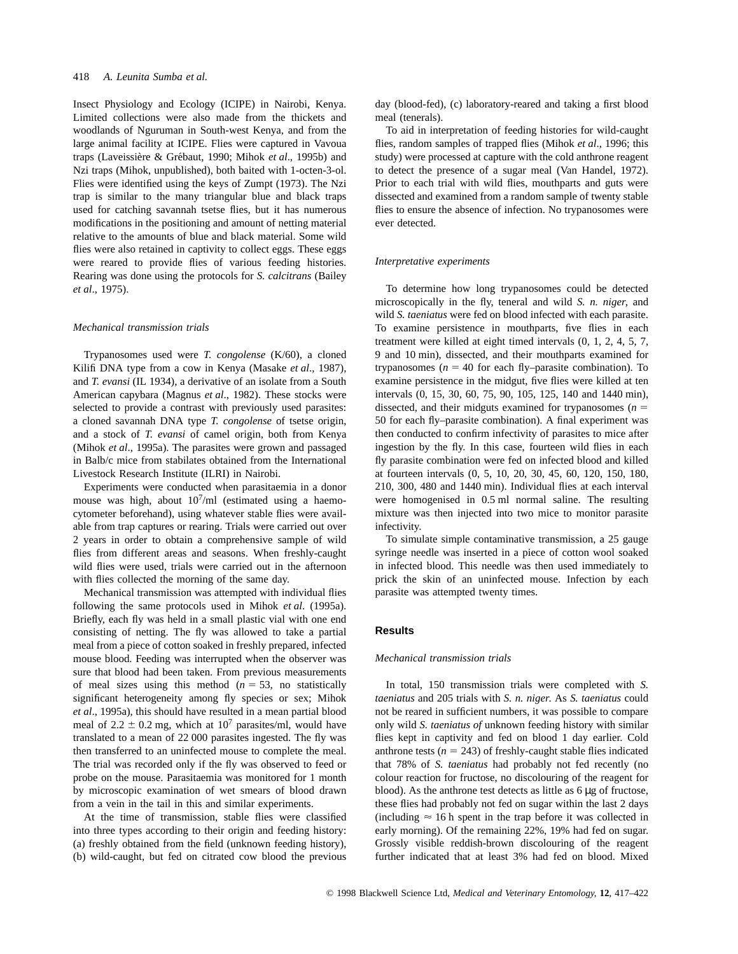Insect Physiology and Ecology (ICIPE) in Nairobi, Kenya. Limited collections were also made from the thickets and woodlands of Nguruman in South-west Kenya, and from the large animal facility at ICIPE. Flies were captured in Vavoua traps (Laveissière & Grébaut, 1990; Mihok et al., 1995b) and Nzi traps (Mihok, unpublished), both baited with 1-octen-3-ol. Flies were identified using the keys of Zumpt (1973). The Nzi trap is similar to the many triangular blue and black traps used for catching savannah tsetse flies, but it has numerous modifications in the positioning and amount of netting material relative to the amounts of blue and black material. Some wild flies were also retained in captivity to collect eggs. These eggs were reared to provide flies of various feeding histories. Rearing was done using the protocols for *S. calcitrans* (Bailey *et al*., 1975).

#### *Mechanical transmission trials*

Trypanosomes used were *T. congolense* (K/60), a cloned Kilifi DNA type from a cow in Kenya (Masake *et al*., 1987), and *T. evansi* (IL 1934), a derivative of an isolate from a South American capybara (Magnus *et al*., 1982). These stocks were selected to provide a contrast with previously used parasites: a cloned savannah DNA type *T. congolense* of tsetse origin, and a stock of *T. evansi* of camel origin, both from Kenya (Mihok *et al*., 1995a). The parasites were grown and passaged in Balb/c mice from stabilates obtained from the International Livestock Research Institute (ILRI) in Nairobi.

Experiments were conducted when parasitaemia in a donor mouse was high, about  $10^7$ /ml (estimated using a haemocytometer beforehand), using whatever stable flies were available from trap captures or rearing. Trials were carried out over 2 years in order to obtain a comprehensive sample of wild flies from different areas and seasons. When freshly-caught wild flies were used, trials were carried out in the afternoon with flies collected the morning of the same day.

Mechanical transmission was attempted with individual flies following the same protocols used in Mihok *et al*. (1995a). Briefly, each fly was held in a small plastic vial with one end consisting of netting. The fly was allowed to take a partial meal from a piece of cotton soaked in freshly prepared, infected mouse blood. Feeding was interrupted when the observer was sure that blood had been taken. From previous measurements of meal sizes using this method  $(n = 53, no$  statistically significant heterogeneity among fly species or sex; Mihok *et al*., 1995a), this should have resulted in a mean partial blood meal of  $2.2 \pm 0.2$  mg, which at  $10^7$  parasites/ml, would have translated to a mean of 22 000 parasites ingested. The fly was then transferred to an uninfected mouse to complete the meal. The trial was recorded only if the fly was observed to feed or probe on the mouse. Parasitaemia was monitored for 1 month by microscopic examination of wet smears of blood drawn from a vein in the tail in this and similar experiments.

At the time of transmission, stable flies were classified into three types according to their origin and feeding history: (a) freshly obtained from the field (unknown feeding history), (b) wild-caught, but fed on citrated cow blood the previous day (blood-fed), (c) laboratory-reared and taking a first blood meal (tenerals).

To aid in interpretation of feeding histories for wild-caught flies, random samples of trapped flies (Mihok *et al*., 1996; this study) were processed at capture with the cold anthrone reagent to detect the presence of a sugar meal (Van Handel, 1972). Prior to each trial with wild flies, mouthparts and guts were dissected and examined from a random sample of twenty stable flies to ensure the absence of infection. No trypanosomes were ever detected.

#### *Interpretative experiments*

To determine how long trypanosomes could be detected microscopically in the fly, teneral and wild *S. n. niger*, and wild *S. taeniatus* were fed on blood infected with each parasite. To examine persistence in mouthparts, five flies in each treatment were killed at eight timed intervals (0, 1, 2, 4, 5, 7, 9 and 10 min), dissected, and their mouthparts examined for trypanosomes ( $n = 40$  for each fly–parasite combination). To examine persistence in the midgut, five flies were killed at ten intervals (0, 15, 30, 60, 75, 90, 105, 125, 140 and 1440 min), dissected, and their midguts examined for trypanosomes ( $n =$ 50 for each fly–parasite combination). A final experiment was then conducted to confirm infectivity of parasites to mice after ingestion by the fly. In this case, fourteen wild flies in each fly parasite combination were fed on infected blood and killed at fourteen intervals (0, 5, 10, 20, 30, 45, 60, 120, 150, 180, 210, 300, 480 and 1440 min). Individual flies at each interval were homogenised in 0.5 ml normal saline. The resulting mixture was then injected into two mice to monitor parasite infectivity.

To simulate simple contaminative transmission, a 25 gauge syringe needle was inserted in a piece of cotton wool soaked in infected blood. This needle was then used immediately to prick the skin of an uninfected mouse. Infection by each parasite was attempted twenty times.

### **Results**

### *Mechanical transmission trials*

In total, 150 transmission trials were completed with *S. taeniatus* and 205 trials with *S. n. niger*. As *S. taeniatus* could not be reared in sufficient numbers, it was possible to compare only wild *S. taeniatus of* unknown feeding history with similar flies kept in captivity and fed on blood 1 day earlier. Cold anthrone tests  $(n = 243)$  of freshly-caught stable flies indicated that 78% of *S. taeniatus* had probably not fed recently (no colour reaction for fructose, no discolouring of the reagent for blood). As the anthrone test detects as little as 6 µg of fructose, these flies had probably not fed on sugar within the last 2 days (including  $\approx 16$  h spent in the trap before it was collected in early morning). Of the remaining 22%, 19% had fed on sugar. Grossly visible reddish-brown discolouring of the reagent further indicated that at least 3% had fed on blood. Mixed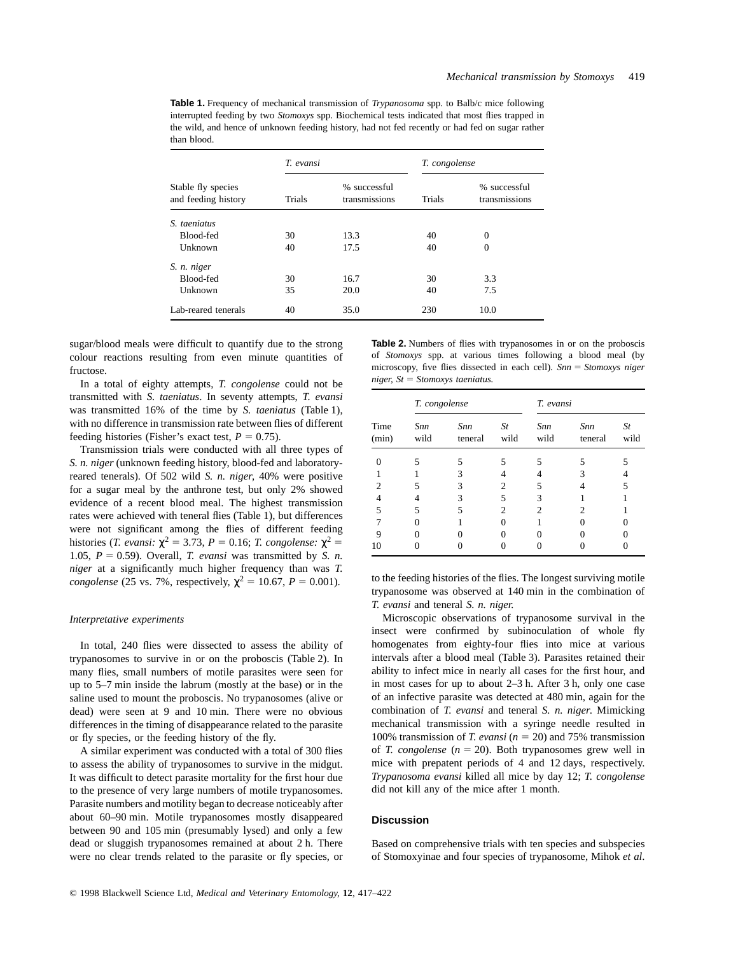**Table 1.** Frequency of mechanical transmission of *Trypanosoma* spp. to Balb/c mice following interrupted feeding by two *Stomoxys* spp. Biochemical tests indicated that most flies trapped in the wild, and hence of unknown feeding history, had not fed recently or had fed on sugar rather than blood.

|                                           | T. evansi |                               | T. congolense |                               |  |
|-------------------------------------------|-----------|-------------------------------|---------------|-------------------------------|--|
| Stable fly species<br>and feeding history | Trials    | % successful<br>transmissions | Trials        | % successful<br>transmissions |  |
| S. taeniatus                              |           |                               |               |                               |  |
| Blood-fed                                 | 30        | 13.3                          | 40            | $\Omega$                      |  |
| Unknown                                   | 40        | 17.5                          | 40            | 0                             |  |
| S. n. niger                               |           |                               |               |                               |  |
| Blood-fed                                 | 30        | 16.7                          | 30            | 3.3                           |  |
| Unknown                                   | 35        | 20.0                          | 40            | 7.5                           |  |
| Lab-reared tenerals                       | 40        | 35.0                          | 230           | 10.0                          |  |

sugar/blood meals were difficult to quantify due to the strong colour reactions resulting from even minute quantities of fructose.

In a total of eighty attempts, *T. congolense* could not be transmitted with *S. taeniatus*. In seventy attempts, *T. evansi* was transmitted 16% of the time by *S. taeniatus* (Table 1), with no difference in transmission rate between flies of different feeding histories (Fisher's exact test,  $P = 0.75$ ).

Transmission trials were conducted with all three types of *S. n. niger* (unknown feeding history, blood-fed and laboratoryreared tenerals). Of 502 wild *S. n. niger*, 40% were positive for a sugar meal by the anthrone test, but only 2% showed evidence of a recent blood meal. The highest transmission rates were achieved with teneral flies (Table 1), but differences were not significant among the flies of different feeding histories (*T. evansi:*  $\chi^2 = 3.73$ , *P* = 0.16; *T. congolense:*  $\chi^2 =$ 1.05,  $P = 0.59$ ). Overall, *T. evansi* was transmitted by *S. n. niger* at a significantly much higher frequency than was *T. congolense* (25 vs. 7%, respectively,  $\chi^2 = 10.67$ ,  $P = 0.001$ ).

#### *Interpretative experiments*

In total, 240 flies were dissected to assess the ability of trypanosomes to survive in or on the proboscis (Table 2). In many flies, small numbers of motile parasites were seen for up to 5–7 min inside the labrum (mostly at the base) or in the saline used to mount the proboscis. No trypanosomes (alive or dead) were seen at 9 and 10 min. There were no obvious differences in the timing of disappearance related to the parasite or fly species, or the feeding history of the fly.

A similar experiment was conducted with a total of 300 flies to assess the ability of trypanosomes to survive in the midgut. It was difficult to detect parasite mortality for the first hour due to the presence of very large numbers of motile trypanosomes. Parasite numbers and motility began to decrease noticeably after about 60–90 min. Motile trypanosomes mostly disappeared between 90 and 105 min (presumably lysed) and only a few dead or sluggish trypanosomes remained at about 2 h. There were no clear trends related to the parasite or fly species, or

Table 2. Numbers of flies with trypanosomes in or on the proboscis of *Stomoxys* spp. at various times following a blood meal (by microscopy, five flies dissected in each cell). *Snn* = *Stomoxys niger niger, St* = *Stomoxys taeniatus*.

| Time<br>(min)  | T. congolense |                |                | T. evansi                   |                |                   |  |
|----------------|---------------|----------------|----------------|-----------------------------|----------------|-------------------|--|
|                | Snn<br>wild   | Snn<br>teneral | St<br>wild     | Snn<br>wild                 | Snn<br>teneral | <i>St</i><br>wild |  |
|                | 5             |                | 5              | 5                           | 5              | 5                 |  |
|                |               | 3              |                |                             |                |                   |  |
| $\overline{c}$ | 5             | 3              | 2              | 5                           |                | 5                 |  |
|                |               | 3              | 5              | 3                           |                |                   |  |
| 5              | 5             | 5              | $\mathfrak{D}$ | $\mathcal{D}_{\mathcal{L}}$ | 2              |                   |  |
|                |               |                |                |                             |                |                   |  |
| 9              |               |                |                |                             |                |                   |  |
| 10             |               |                |                |                             |                |                   |  |

to the feeding histories of the flies. The longest surviving motile trypanosome was observed at 140 min in the combination of *T. evansi* and teneral *S. n. niger.*

Microscopic observations of trypanosome survival in the insect were confirmed by subinoculation of whole fly homogenates from eighty-four flies into mice at various intervals after a blood meal (Table 3). Parasites retained their ability to infect mice in nearly all cases for the first hour, and in most cases for up to about 2–3 h. After 3 h, only one case of an infective parasite was detected at 480 min, again for the combination of *T. evansi* and teneral *S. n. niger*. Mimicking mechanical transmission with a syringe needle resulted in 100% transmission of *T. evansi* ( $n = 20$ ) and 75% transmission of *T. congolense*  $(n = 20)$ . Both trypanosomes grew well in mice with prepatent periods of 4 and 12 days, respectively. *Trypanosoma evansi* killed all mice by day 12; *T. congolense* did not kill any of the mice after 1 month.

## **Discussion**

Based on comprehensive trials with ten species and subspecies of Stomoxyinae and four species of trypanosome, Mihok *et al*.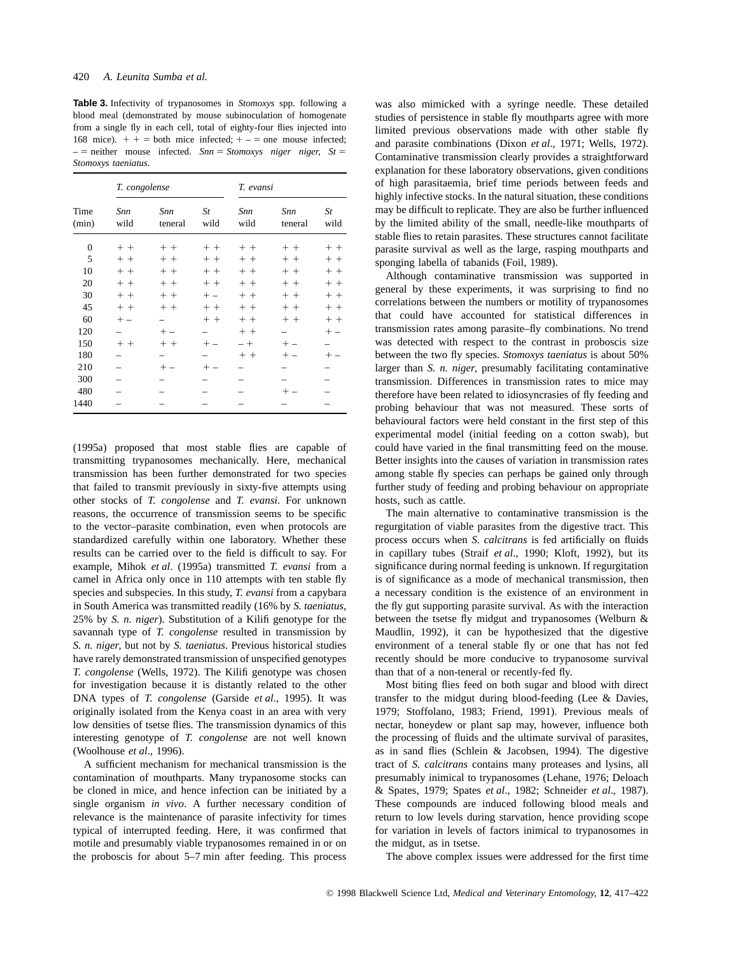**Table 3.** Infectivity of trypanosomes in *Stomoxys* spp. following a blood meal (demonstrated by mouse subinoculation of homogenate from a single fly in each cell, total of eighty-four flies injected into 168 mice).  $+$  + = both mice infected;  $+$  – = one mouse infected;  $-$  = neither mouse infected. *Snn* = *Stomoxys niger niger, St* = *Stomoxys taeniatus.*

| Time<br>(min) | T. congolense |                |                   | T. evansi   |                |            |
|---------------|---------------|----------------|-------------------|-------------|----------------|------------|
|               | Snn<br>wild   | Snn<br>teneral | <i>St</i><br>wild | Snn<br>wild | Snn<br>teneral | St<br>wild |
| $\mathbf{0}$  | $+ +$         | $+$ $+$        | $+ +$             | $+$ +       | $+$ +          | $+ +$      |
| 5             | $+ +$         | $+$ $+$        | $+ +$             | $+$ $+$     | $+$ $+$        | $+ +$      |
| 10            | $+ +$         | $+$ +          | $+ +$             | $+$ +       | $+$ +          | $+ +$      |
| 20            | $+ +$         | $+$ +          | $+ +$             | $+$ +       | $+$ +          | $+ +$      |
| 30            | $+$ $+$       | $+$ +          | $+ -$             | $+$ +       | $+$ +          | $+$ $+$    |
| 45            | $+ +$         | $+ +$          | $+ +$             | $+ +$       | $+ +$          | $+ +$      |
| 60            | $+ -$         |                | $+$<br>$^{+}$     | $+ +$       | $+$ +          | $+ +$      |
| 120           |               | $+ -$          |                   | $+ +$       |                | $+ -$      |
| 150           | $+$ +         | $+$ +          | $+ -$             | - +         | $+ -$          |            |
| 180           |               |                |                   | $+$ $+$     | $+ -$          |            |
| 210           |               | $^{+}$         | $^{+}$            |             |                |            |
| 300           |               |                |                   |             |                |            |
| 480           |               |                |                   |             | $^+$           |            |
| 1440          |               |                |                   |             |                |            |

(1995a) proposed that most stable flies are capable of transmitting trypanosomes mechanically. Here, mechanical transmission has been further demonstrated for two species that failed to transmit previously in sixty-five attempts using other stocks of *T. congolense* and *T. evansi*. For unknown reasons, the occurrence of transmission seems to be specific to the vector–parasite combination, even when protocols are standardized carefully within one laboratory. Whether these results can be carried over to the field is difficult to say. For example, Mihok *et al*. (1995a) transmitted *T. evansi* from a camel in Africa only once in 110 attempts with ten stable fly species and subspecies. In this study, *T. evansi* from a capybara in South America was transmitted readily (16% by *S. taeniatus*, 25% by *S. n. niger*). Substitution of a Kilifi genotype for the savannah type of *T. congolense* resulted in transmission by *S. n. niger*, but not by *S. taeniatus*. Previous historical studies have rarely demonstrated transmission of unspecified genotypes *T. congolense* (Wells, 1972). The Kilifi genotype was chosen for investigation because it is distantly related to the other DNA types of *T. congolense* (Garside *et al*., 1995). It was originally isolated from the Kenya coast in an area with very low densities of tsetse flies. The transmission dynamics of this interesting genotype of *T. congolense* are not well known (Woolhouse *et al*., 1996).

A sufficient mechanism for mechanical transmission is the contamination of mouthparts. Many trypanosome stocks can be cloned in mice, and hence infection can be initiated by a single organism *in vivo*. A further necessary condition of relevance is the maintenance of parasite infectivity for times typical of interrupted feeding. Here, it was confirmed that motile and presumably viable trypanosomes remained in or on the proboscis for about 5–7 min after feeding. This process

was also mimicked with a syringe needle. These detailed studies of persistence in stable fly mouthparts agree with more limited previous observations made with other stable fly and parasite combinations (Dixon *et al*., 1971; Wells, 1972). Contaminative transmission clearly provides a straightforward explanation for these laboratory observations, given conditions of high parasitaemia, brief time periods between feeds and highly infective stocks. In the natural situation, these conditions may be difficult to replicate. They are also be further influenced by the limited ability of the small, needle-like mouthparts of stable flies to retain parasites. These structures cannot facilitate parasite survival as well as the large, rasping mouthparts and sponging labella of tabanids (Foil, 1989).

Although contaminative transmission was supported in general by these experiments, it was surprising to find no correlations between the numbers or motility of trypanosomes that could have accounted for statistical differences in transmission rates among parasite–fly combinations. No trend was detected with respect to the contrast in proboscis size between the two fly species. *Stomoxys taeniatus* is about 50% larger than *S. n. niger*, presumably facilitating contaminative transmission. Differences in transmission rates to mice may therefore have been related to idiosyncrasies of fly feeding and probing behaviour that was not measured. These sorts of behavioural factors were held constant in the first step of this experimental model (initial feeding on a cotton swab), but could have varied in the final transmitting feed on the mouse. Better insights into the causes of variation in transmission rates among stable fly species can perhaps be gained only through further study of feeding and probing behaviour on appropriate hosts, such as cattle.

The main alternative to contaminative transmission is the regurgitation of viable parasites from the digestive tract. This process occurs when *S. calcitrans* is fed artificially on fluids in capillary tubes (Straif *et al*., 1990; Kloft, 1992), but its significance during normal feeding is unknown. If regurgitation is of significance as a mode of mechanical transmission, then a necessary condition is the existence of an environment in the fly gut supporting parasite survival. As with the interaction between the tsetse fly midgut and trypanosomes (Welburn & Maudlin, 1992), it can be hypothesized that the digestive environment of a teneral stable fly or one that has not fed recently should be more conducive to trypanosome survival than that of a non-teneral or recently-fed fly.

Most biting flies feed on both sugar and blood with direct transfer to the midgut during blood-feeding (Lee & Davies, 1979; Stoffolano, 1983; Friend, 1991). Previous meals of nectar, honeydew or plant sap may, however, influence both the processing of fluids and the ultimate survival of parasites, as in sand flies (Schlein & Jacobsen, 1994). The digestive tract of *S. calcitrans* contains many proteases and lysins, all presumably inimical to trypanosomes (Lehane, 1976; Deloach & Spates, 1979; Spates *et al*., 1982; Schneider *et al*., 1987). These compounds are induced following blood meals and return to low levels during starvation, hence providing scope for variation in levels of factors inimical to trypanosomes in the midgut, as in tsetse.

The above complex issues were addressed for the first time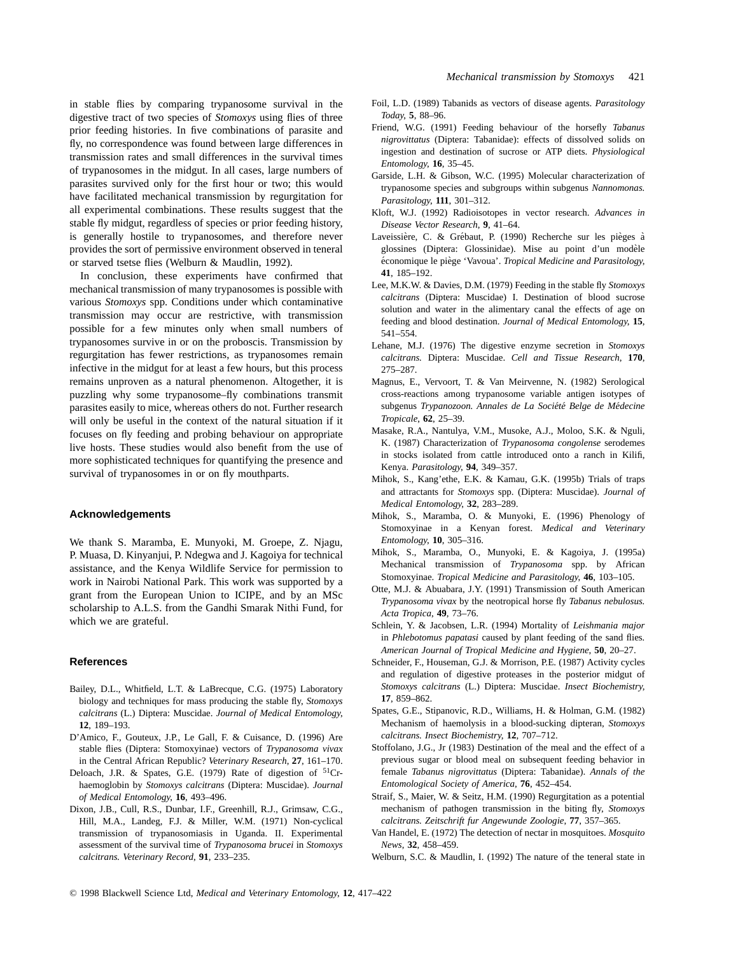in stable flies by comparing trypanosome survival in the digestive tract of two species of *Stomoxys* using flies of three prior feeding histories. In five combinations of parasite and fly, no correspondence was found between large differences in transmission rates and small differences in the survival times of trypanosomes in the midgut. In all cases, large numbers of parasites survived only for the first hour or two; this would have facilitated mechanical transmission by regurgitation for all experimental combinations. These results suggest that the stable fly midgut, regardless of species or prior feeding history, is generally hostile to trypanosomes, and therefore never provides the sort of permissive environment observed in teneral or starved tsetse flies (Welburn & Maudlin, 1992).

In conclusion, these experiments have confirmed that mechanical transmission of many trypanosomes is possible with various *Stomoxys* spp. Conditions under which contaminative transmission may occur are restrictive, with transmission possible for a few minutes only when small numbers of trypanosomes survive in or on the proboscis. Transmission by regurgitation has fewer restrictions, as trypanosomes remain infective in the midgut for at least a few hours, but this process remains unproven as a natural phenomenon. Altogether, it is puzzling why some trypanosome–fly combinations transmit parasites easily to mice, whereas others do not. Further research will only be useful in the context of the natural situation if it focuses on fly feeding and probing behaviour on appropriate live hosts. These studies would also benefit from the use of more sophisticated techniques for quantifying the presence and survival of trypanosomes in or on fly mouthparts.

#### **Acknowledgements**

We thank S. Maramba, E. Munyoki, M. Groepe, Z. Njagu, P. Muasa, D. Kinyanjui, P. Ndegwa and J. Kagoiya for technical assistance, and the Kenya Wildlife Service for permission to work in Nairobi National Park. This work was supported by a grant from the European Union to ICIPE, and by an MSc scholarship to A.L.S. from the Gandhi Smarak Nithi Fund, for which we are grateful.

## **References**

- Bailey, D.L., Whitfield, L.T. & LaBrecque, C.G. (1975) Laboratory biology and techniques for mass producing the stable fly, *Stomoxys calcitrans* (L.) Diptera: Muscidae. *Journal of Medical Entomology*, **12**, 189–193.
- D'Amico, F., Gouteux, J.P., Le Gall, F. & Cuisance, D. (1996) Are stable flies (Diptera: Stomoxyinae) vectors of *Trypanosoma vivax* in the Central African Republic? *Veterinary Research*, **27**, 161–170.
- Deloach, J.R. & Spates, G.E. (1979) Rate of digestion of  $51$ Crhaemoglobin by *Stomoxys calcitrans* (Diptera: Muscidae). *Journal of Medical Entomology*, **16**, 493–496.
- Dixon, J.B., Cull, R.S., Dunbar, I.F., Greenhill, R.J., Grimsaw, C.G., Hill, M.A., Landeg, F.J. & Miller, W.M. (1971) Non-cyclical transmission of trypanosomiasis in Uganda. II. Experimental assessment of the survival time of *Trypanosoma brucei* in *Stomoxys calcitrans. Veterinary Record*, **91**, 233–235.
- Foil, L.D. (1989) Tabanids as vectors of disease agents. *Parasitology Today*, **5**, 88–96.
- Friend, W.G. (1991) Feeding behaviour of the horsefly *Tabanus nigrovittatus* (Diptera: Tabanidae): effects of dissolved solids on ingestion and destination of sucrose or ATP diets. *Physiological Entomology*, **16**, 35–45.
- Garside, L.H. & Gibson, W.C. (1995) Molecular characterization of trypanosome species and subgroups within subgenus *Nannomonas. Parasitology*, **111**, 301–312.
- Kloft, W.J. (1992) Radioisotopes in vector research. *Advances in Disease Vector Research*, **9**, 41–64.
- Laveissière, C. & Grébaut, P. (1990) Recherche sur les pièges à glossines (Diptera: Glossinidae). Mise au point d'un modèle e´conomique le pie`ge 'Vavoua'. *Tropical Medicine and Parasitology*, **41**, 185–192.
- Lee, M.K.W. & Davies, D.M. (1979) Feeding in the stable fly *Stomoxys calcitrans* (Diptera: Muscidae) I. Destination of blood sucrose solution and water in the alimentary canal the effects of age on feeding and blood destination. *Journal of Medical Entomology*, **15**, 541–554.
- Lehane, M.J. (1976) The digestive enzyme secretion in *Stomoxys calcitrans.* Diptera: Muscidae. *Cell and Tissue Research*, **170**, 275–287.
- Magnus, E., Vervoort, T. & Van Meirvenne, N. (1982) Serological cross-reactions among trypanosome variable antigen isotypes of subgenus *Trypanozoon. Annales de La Société Belge de Médecine Tropicale*, **62**, 25–39.
- Masake, R.A., Nantulya, V.M., Musoke, A.J., Moloo, S.K. & Nguli, K. (1987) Characterization of *Trypanosoma congolense* serodemes in stocks isolated from cattle introduced onto a ranch in Kilifi, Kenya. *Parasitology*, **94**, 349–357.
- Mihok, S., Kang'ethe, E.K. & Kamau, G.K. (1995b) Trials of traps and attractants for *Stomoxys* spp. (Diptera: Muscidae). *Journal of Medical Entomology*, **32**, 283–289.
- Mihok, S., Maramba, O. & Munyoki, E. (1996) Phenology of Stomoxyinae in a Kenyan forest. *Medical and Veterinary Entomology*, **10**, 305–316.
- Mihok, S., Maramba, O., Munyoki, E. & Kagoiya, J. (1995a) Mechanical transmission of *Trypanosoma* spp. by African Stomoxyinae. *Tropical Medicine and Parasitology*, **46**, 103–105.
- Otte, M.J. & Abuabara, J.Y. (1991) Transmission of South American *Trypanosoma vivax* by the neotropical horse fly *Tabanus nebulosus. Acta Tropica*, **49**, 73–76.
- Schlein, Y. & Jacobsen, L.R. (1994) Mortality of *Leishmania major* in *Phlebotomus papatasi* caused by plant feeding of the sand flies*. American Journal of Tropical Medicine and Hygiene*, **50**, 20–27.
- Schneider, F., Houseman, G.J. & Morrison, P.E. (1987) Activity cycles and regulation of digestive proteases in the posterior midgut of *Stomoxys calcitrans* (L.) Diptera: Muscidae. *Insect Biochemistry*, **17**, 859–862.
- Spates, G.E., Stipanovic, R.D., Williams, H. & Holman, G.M. (1982) Mechanism of haemolysis in a blood-sucking dipteran, *Stomoxys calcitrans. Insect Biochemistry*, **12**, 707–712.
- Stoffolano, J.G., Jr (1983) Destination of the meal and the effect of a previous sugar or blood meal on subsequent feeding behavior in female *Tabanus nigrovittatus* (Diptera: Tabanidae). *Annals of the Entomological Society of America*, **76**, 452–454.
- Straif, S., Maier, W. & Seitz, H.M. (1990) Regurgitation as a potential mechanism of pathogen transmission in the biting fly, *Stomoxys calcitrans. Zeitschrift fur Angewunde Zoologie*, **77**, 357–365.
- Van Handel, E. (1972) The detection of nectar in mosquitoes. *Mosquito News*, **32**, 458–459.
- Welburn, S.C. & Maudlin, I. (1992) The nature of the teneral state in